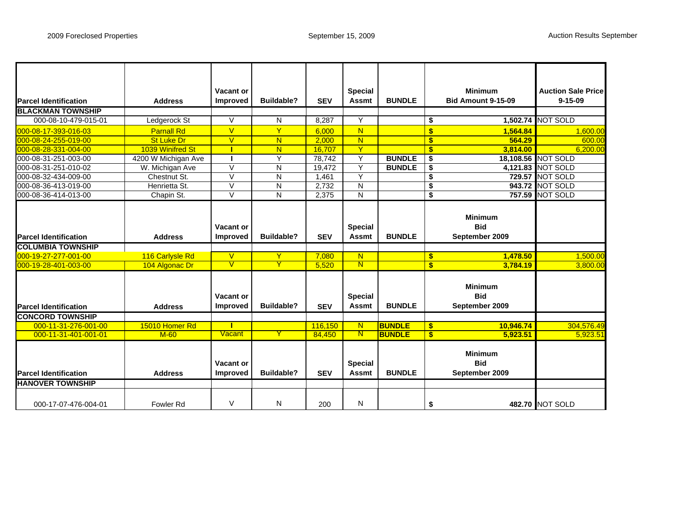|                              |                     | Vacant or               |                   |            | <b>Special</b>          |               |                                      | <b>Minimum</b>            | <b>Auction Sale Price</b> |
|------------------------------|---------------------|-------------------------|-------------------|------------|-------------------------|---------------|--------------------------------------|---------------------------|---------------------------|
| <b>Parcel Identification</b> | <b>Address</b>      | <b>Improved</b>         | <b>Buildable?</b> | <b>SEV</b> | <b>Assmt</b>            | <b>BUNDLE</b> |                                      | <b>Bid Amount 9-15-09</b> | $9 - 15 - 09$             |
| <b>BLACKMAN TOWNSHIP</b>     |                     |                         |                   |            |                         |               |                                      |                           |                           |
| 000-08-10-479-015-01         | Ledgerock St        | $\vee$                  | N                 | 8,287      | Y                       |               | \$                                   |                           | 1,502.74 NOT SOLD         |
| 000-08-17-393-016-03         | <b>Parnall Rd</b>   | $\overline{V}$          | Ÿ                 | 6.000      | N                       |               | $\overline{\mathbf{S}}$              | 1.564.84                  | 1,600.00                  |
| 000-08-24-255-019-00         | <b>St Luke Dr</b>   | $\overline{\mathsf{V}}$ | N.                | 2.000      | $\overline{\mathsf{N}}$ |               | $\mathbf{s}$                         | 564.29                    | 600.00                    |
| 000-08-28-331-004-00         | 1039 Winifred St    | т                       | N.                | 16.707     | Ÿ                       |               | $\mathbf{s}$                         | 3.814.00                  | 6,200.00                  |
| 000-08-31-251-003-00         | 4200 W Michigan Ave | п                       | Υ                 | 78,742     | Y                       | <b>BUNDLE</b> | \$                                   |                           | 18,108.56 NOT SOLD        |
| 000-08-31-251-010-02         | W. Michigan Ave     | $\vee$                  | N                 | 19.472     | Y                       | <b>BUNDLE</b> | \$                                   |                           | 4,121.83 NOT SOLD         |
| 000-08-32-434-009-00         | Chestnut St.        | $\vee$                  | N                 | 1,461      | $\overline{Y}$          |               | $\overline{\bullet}$                 | 729.57                    | <b>NOT SOLD</b>           |
| 000-08-36-413-019-00         | Henrietta St.       | $\vee$                  | N                 | 2.732      | N                       |               | $\overline{\boldsymbol{\mathsf{s}}}$ | 943.72                    | <b>NOT SOLD</b>           |
| 000-08-36-414-013-00         | Chapin St.          | $\vee$                  | N                 | 2,375      | N                       |               | \$                                   | 757.59                    | <b>NOT SOLD</b>           |
|                              |                     |                         |                   |            |                         |               |                                      |                           |                           |
|                              |                     |                         |                   |            |                         |               |                                      | <b>Minimum</b>            |                           |
|                              |                     | <b>Vacant or</b>        |                   |            | <b>Special</b>          |               |                                      | <b>Bid</b>                |                           |
|                              |                     |                         | <b>Buildable?</b> |            |                         | <b>BUNDLE</b> |                                      |                           |                           |
| <b>Parcel Identification</b> | <b>Address</b>      | Improved                |                   | <b>SEV</b> | <b>Assmt</b>            |               |                                      | September 2009            |                           |
| <b>COLUMBIA TOWNSHIP</b>     |                     |                         |                   |            |                         |               |                                      |                           |                           |
| 000-19-27-277-001-00         | 116 Carlysle Rd     | $\vee$                  | Y                 | 7,080      | N                       |               | \$.                                  | 1,478.50                  | 1,500.00                  |
| 000-19-28-401-003-00         | 104 Algonac Dr      | $\overline{\mathsf{V}}$ | Y                 | 5.520      | $\overline{\mathsf{N}}$ |               | $\mathbf{s}$                         | 3.784.19                  | 3.800.00                  |
|                              |                     |                         |                   |            |                         |               |                                      |                           |                           |
|                              |                     |                         |                   |            |                         |               |                                      | <b>Minimum</b>            |                           |
|                              |                     | <b>Vacant or</b>        |                   |            | <b>Special</b>          |               |                                      | <b>Bid</b>                |                           |
| <b>Parcel Identification</b> | <b>Address</b>      | <b>Improved</b>         | <b>Buildable?</b> | <b>SEV</b> | <b>Assmt</b>            | <b>BUNDLE</b> |                                      | September 2009            |                           |
| <b>CONCORD TOWNSHIP</b>      |                     |                         |                   |            |                         |               |                                      |                           |                           |
| 000-11-31-276-001-00         | 15010 Homer Rd      | т                       |                   | 116,150    | N                       | <b>BUNDLE</b> | \$                                   | 10,946.74                 | 304,576.49                |
| 000-11-31-401-001-01         | $M-60$              | Vacant                  | Y                 | 84,450     | $\mathbf N$             | <b>BUNDLE</b> | \$                                   | 5.923.51                  | 5,923.51                  |
|                              |                     |                         |                   |            |                         |               |                                      |                           |                           |
|                              |                     |                         |                   |            |                         |               |                                      | <b>Minimum</b>            |                           |
|                              |                     | Vacant or               |                   |            | <b>Special</b>          |               |                                      | <b>Bid</b>                |                           |
|                              |                     |                         | <b>Buildable?</b> |            | <b>Assmt</b>            | <b>BUNDLE</b> |                                      |                           |                           |
| <b>Parcel Identification</b> | <b>Address</b>      | <b>Improved</b>         |                   | <b>SEV</b> |                         |               |                                      | September 2009            |                           |
| <b>HANOVER TOWNSHIP</b>      |                     |                         |                   |            |                         |               |                                      |                           |                           |
|                              |                     |                         |                   |            |                         |               |                                      |                           |                           |
| 000-17-07-476-004-01         | Fowler Rd           | V                       | N                 | 200        | N                       |               | \$                                   |                           | 482.70 NOT SOLD           |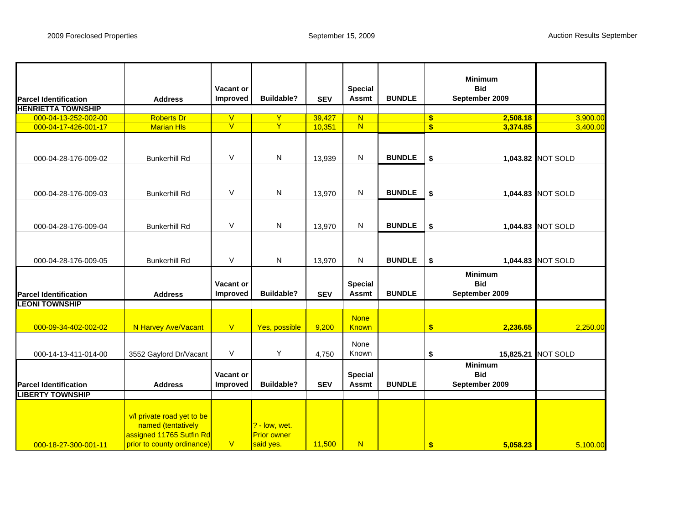| <b>Parcel Identification</b> | <b>Address</b>                                                                                             | Vacant or<br>Improved   | <b>Buildable?</b>                                  | <b>SEV</b> | <b>Special</b><br><b>Assmt</b> | <b>BUNDLE</b> | <b>Minimum</b><br><b>Bid</b><br>September 2009 |                   |
|------------------------------|------------------------------------------------------------------------------------------------------------|-------------------------|----------------------------------------------------|------------|--------------------------------|---------------|------------------------------------------------|-------------------|
| <b>HENRIETTA TOWNSHIP</b>    |                                                                                                            |                         |                                                    |            |                                |               |                                                |                   |
| 000-04-13-252-002-00         | <b>Roberts Dr</b>                                                                                          | $\overline{\mathsf{V}}$ | Y                                                  | 39,427     | $\overline{\mathsf{N}}$        |               | 2,508.18<br>$\mathbf{\$}$                      | 3,900.00          |
| 000-04-17-426-001-17         | <b>Marian HIs</b>                                                                                          | V                       | Y                                                  | 10,351     | $\overline{\mathsf{N}}$        |               | $\overline{\mathbf{s}}$<br>3,374.85            | 3,400.00          |
| 000-04-28-176-009-02         | <b>Bunkerhill Rd</b>                                                                                       | V                       | N                                                  | 13,939     | $\mathsf{N}$                   | <b>BUNDLE</b> | \$                                             | 1,043.82 NOT SOLD |
| 000-04-28-176-009-03         | <b>Bunkerhill Rd</b>                                                                                       | V                       | N                                                  | 13,970     | N                              | <b>BUNDLE</b> | \$                                             | 1,044.83 NOT SOLD |
| 000-04-28-176-009-04         | <b>Bunkerhill Rd</b>                                                                                       | $\vee$                  | N                                                  | 13,970     | $\mathsf{N}$                   | <b>BUNDLE</b> | \$                                             | 1,044.83 NOT SOLD |
| 000-04-28-176-009-05         | <b>Bunkerhill Rd</b>                                                                                       | $\vee$                  | N                                                  | 13,970     | N                              | <b>BUNDLE</b> | \$                                             | 1,044.83 NOT SOLD |
| <b>Parcel Identification</b> | <b>Address</b>                                                                                             | Vacant or<br>Improved   | <b>Buildable?</b>                                  | <b>SEV</b> | <b>Special</b><br><b>Assmt</b> | <b>BUNDLE</b> | <b>Minimum</b><br><b>Bid</b><br>September 2009 |                   |
| <b>LEONI TOWNSHIP</b>        |                                                                                                            |                         |                                                    |            |                                |               |                                                |                   |
| 000-09-34-402-002-02         | N Harvey Ave/Vacant                                                                                        | V                       | Yes, possible                                      | 9,200      | <b>None</b><br><b>Known</b>    |               | $\frac{1}{2}$<br>2,236.65                      | 2,250.00          |
| 000-14-13-411-014-00         | 3552 Gaylord Dr/Vacant                                                                                     | V                       | Υ                                                  | 4,750      | None<br>Known                  |               | \$<br>15,825.21                                | <b>NOT SOLD</b>   |
| <b>Parcel Identification</b> | <b>Address</b>                                                                                             | Vacant or<br>Improved   | <b>Buildable?</b>                                  | <b>SEV</b> | <b>Special</b><br><b>Assmt</b> | <b>BUNDLE</b> | <b>Minimum</b><br><b>Bid</b><br>September 2009 |                   |
| <b>LIBERTY TOWNSHIP</b>      |                                                                                                            |                         |                                                    |            |                                |               |                                                |                   |
| 000-18-27-300-001-11         | v/l private road yet to be<br>named (tentatively<br>assigned 11765 Sutfin Rd<br>prior to county ordinance) | V                       | $? - low, wet.$<br><b>Prior owner</b><br>said yes. | 11,500     | N                              |               | \$<br>5,058.23                                 | 5,100.00          |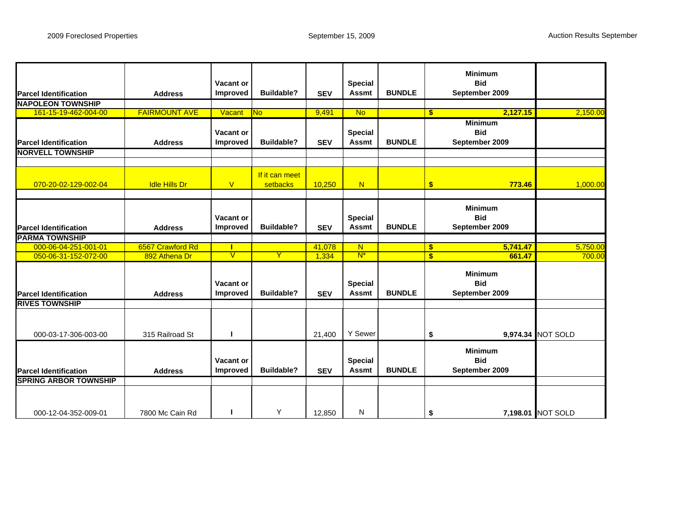| <b>Parcel Identification</b> | <b>Address</b>       | Vacant or<br>Improved        | <b>Buildable?</b>          | <b>SEV</b> | <b>Special</b><br><b>Assmt</b> | <b>BUNDLE</b> |               | <b>Minimum</b><br><b>Bid</b><br>September 2009 |                   |
|------------------------------|----------------------|------------------------------|----------------------------|------------|--------------------------------|---------------|---------------|------------------------------------------------|-------------------|
| <b>NAPOLEON TOWNSHIP</b>     |                      |                              |                            |            |                                |               |               |                                                |                   |
| 161-15-19-462-004-00         | <b>FAIRMOUNT AVE</b> | Vacant                       | <b>No</b>                  | 9,491      | <b>No</b>                      |               | $\mathbf{s}$  | 2,127.15                                       | 2,150.00          |
| <b>Parcel Identification</b> | <b>Address</b>       | Vacant or<br><b>Improved</b> | <b>Buildable?</b>          | <b>SEV</b> | <b>Special</b><br><b>Assmt</b> | <b>BUNDLE</b> |               | <b>Minimum</b><br><b>Bid</b><br>September 2009 |                   |
| <b>NORVELL TOWNSHIP</b>      |                      |                              |                            |            |                                |               |               |                                                |                   |
|                              |                      |                              |                            |            |                                |               |               |                                                |                   |
| 070-20-02-129-002-04         | <b>Idle Hills Dr</b> | $\overline{\mathsf{V}}$      | If it can meet<br>setbacks | 10,250     | N                              |               | $\mathbf{s}$  | 773.46                                         | 1,000.00          |
| <b>Parcel Identification</b> | <b>Address</b>       | Vacant or<br>Improved        | <b>Buildable?</b>          | <b>SEV</b> | <b>Special</b><br><b>Assmt</b> | <b>BUNDLE</b> |               | <b>Minimum</b><br><b>Bid</b><br>September 2009 |                   |
| <b>PARMA TOWNSHIP</b>        |                      |                              |                            |            |                                |               |               |                                                |                   |
| 000-06-04-251-001-01         | 6567 Crawford Rd     | т                            |                            | 41,078     | N                              |               | $\sqrt[6]{3}$ | 5,741.47                                       | 5,750.00          |
| 050-06-31-152-072-00         | 892 Athena Dr        | $\mathsf{V}$                 | Y                          | 1,334      | $N^*$                          |               | $\mathbf{s}$  | 661.47                                         | 700.00            |
| <b>Parcel Identification</b> | <b>Address</b>       | Vacant or<br><b>Improved</b> | <b>Buildable?</b>          | <b>SEV</b> | <b>Special</b><br><b>Assmt</b> | <b>BUNDLE</b> |               | <b>Minimum</b><br><b>Bid</b><br>September 2009 |                   |
| <b>RIVES TOWNSHIP</b>        |                      |                              |                            |            |                                |               |               |                                                |                   |
| 000-03-17-306-003-00         | 315 Railroad St      | п                            |                            | 21,400     | Y Sewer                        |               | \$            |                                                | 9,974.34 NOT SOLD |
| <b>Parcel Identification</b> | <b>Address</b>       | Vacant or<br>Improved        | <b>Buildable?</b>          | <b>SEV</b> | <b>Special</b><br><b>Assmt</b> | <b>BUNDLE</b> |               | <b>Minimum</b><br><b>Bid</b><br>September 2009 |                   |
| <b>SPRING ARBOR TOWNSHIP</b> |                      |                              |                            |            |                                |               |               |                                                |                   |
| 000-12-04-352-009-01         | 7800 Mc Cain Rd      | п                            | Y                          | 12.850     | N                              |               | \$            |                                                | 7,198.01 NOT SOLD |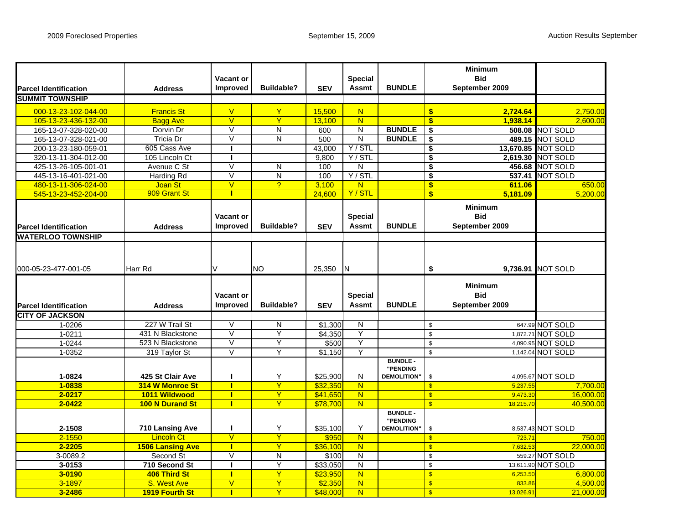|                                  |                         |                   |                   |            |                         |                                |                                      | <b>Minimum</b> |                        |
|----------------------------------|-------------------------|-------------------|-------------------|------------|-------------------------|--------------------------------|--------------------------------------|----------------|------------------------|
|                                  |                         | Vacant or         |                   |            | <b>Special</b>          |                                |                                      | <b>Bid</b>     |                        |
| <b>Parcel Identification</b>     | <b>Address</b>          | <b>Improved</b>   | <b>Buildable?</b> | <b>SEV</b> | <b>Assmt</b>            | <b>BUNDLE</b>                  |                                      | September 2009 |                        |
| <b>SUMMIT TOWNSHIP</b>           |                         |                   |                   |            |                         |                                |                                      |                |                        |
| 000-13-23-102-044-00             | <b>Francis St</b>       | $\vee$            | Y                 | 15,500     | N                       |                                | \$                                   | 2.724.64       | 2,750.00               |
| 105-13-23-436-132-00             | <b>Bagg Ave</b>         | $\overline{V}$    | Y                 | 13.100     | N                       |                                | \$                                   | 1.938.14       | 2.600.00               |
| 165-13-07-328-020-00             | Dorvin Dr               | $\overline{\vee}$ | N                 | 600        | N                       | <b>BUNDLE</b>                  | \$                                   |                | <b>508.08 NOT SOLD</b> |
| 165-13-07-328-021-00             | Tricia Dr               | $\overline{\vee}$ | N                 | 500        | $\overline{\mathsf{N}}$ | <b>BUNDLE</b>                  | \$                                   |                | 489.15 NOT SOLD        |
| 200-13-23-180-059-01             | 605 Cass Ave            | J.                |                   | 43.000     | Y / STL                 |                                | $\overline{\boldsymbol{\mathsf{s}}}$ |                | 13,670.85 NOT SOLD     |
| 320-13-11-304-012-00             | 105 Lincoln Ct          | л                 |                   | 9,800      | Y / STL                 |                                | $\overline{\boldsymbol{\mathsf{s}}}$ |                | 2,619.30 NOT SOLD      |
| 425-13-26-105-001-01             | Avenue C St             | V                 | N                 | 100        | N                       |                                | \$                                   |                | 456.68 NOT SOLD        |
| 445-13-16-401-021-00             | <b>Harding Rd</b>       | $\overline{\vee}$ | N                 | 100        | Y / STL                 |                                | $\overline{\boldsymbol{\mathsf{s}}}$ | 537.41         | NOT SOLD               |
| 480-13-11-306-024-00             | <b>Joan St</b>          | $\overline{V}$    | $\overline{2}$    | 3,100      | N                       |                                | $\overline{\mathbf{s}}$              | 611.06         | 650.00                 |
| 545-13-23-452-204-00             | 909 Grant St            |                   |                   | 24,600     | Y/STL                   |                                | \$                                   | 5,181.09       | 5,200.00               |
|                                  |                         |                   |                   |            |                         |                                |                                      | <b>Minimum</b> |                        |
|                                  |                         | Vacant or         |                   |            | <b>Special</b>          |                                |                                      | <b>Bid</b>     |                        |
| <b>Parcel Identification</b>     | <b>Address</b>          | <b>Improved</b>   | <b>Buildable?</b> | <b>SEV</b> | <b>Assmt</b>            | <b>BUNDLE</b>                  |                                      | September 2009 |                        |
| <b>WATERLOO TOWNSHIP</b>         |                         |                   |                   |            |                         |                                |                                      |                |                        |
|                                  |                         |                   |                   |            |                         |                                |                                      |                |                        |
|                                  |                         |                   |                   |            |                         |                                |                                      |                |                        |
|                                  |                         |                   |                   |            |                         |                                |                                      |                |                        |
| 000-05-23-477-001-05             | <b>Harr Rd</b>          | V                 | <b>NO</b>         | 25,350     | IN.                     |                                | \$                                   |                | 9,736.91 NOT SOLD      |
|                                  |                         |                   |                   |            |                         |                                |                                      | <b>Minimum</b> |                        |
|                                  |                         | Vacant or         |                   |            | <b>Special</b>          |                                |                                      | <b>Bid</b>     |                        |
| <b>Parcel Identification</b>     | <b>Address</b>          | <b>Improved</b>   | <b>Buildable?</b> | <b>SEV</b> | <b>Assmt</b>            | <b>BUNDLE</b>                  |                                      | September 2009 |                        |
|                                  |                         |                   |                   |            |                         |                                |                                      |                |                        |
| <b>CITY OF JACKSON</b><br>1-0206 | 227 W Trail St          | V                 | N                 | \$1,300    | N                       |                                | $\mathfrak s$                        |                | 647.99 NOT SOLD        |
| 1-0211                           | 431 N Blackstone        | $\vee$            | Y                 | \$4,350    | Y                       |                                | $\,$                                 |                | 1,872.71 NOT SOLD      |
| 1-0244                           | 523 N Blackstone        | $\overline{\vee}$ | Y                 | \$500      | Υ                       |                                | $\bullet$                            |                | 4,090.95 NOT SOLD      |
| 1-0352                           | 319 Taylor St           | $\overline{V}$    | Y                 | \$1,150    | Y                       |                                | $$\mathbb{S}$$                       |                | 1,142.04 NOT SOLD      |
|                                  |                         |                   |                   |            |                         | <b>BUNDLE -</b>                |                                      |                |                        |
|                                  |                         |                   |                   |            |                         | "PENDING                       |                                      |                |                        |
| 1-0824                           | 425 St Clair Ave        | ш                 | Y                 | \$25,900   | N                       | <b>DEMOLITION"</b>             | \$                                   |                | 4,095.67 NOT SOLD      |
| $1 - 0838$                       | 314 W Monroe St         | п                 | Ÿ                 | \$32,350   | $\overline{\mathsf{N}}$ |                                | $\mathbf{s}$                         | 5,237.55       | 7,700.00               |
| $2 - 0217$                       | 1011 Wildwood           | т                 | Y                 | \$41,650   | N                       |                                | S                                    | 9,473.30       | 16,000.00              |
| $2 - 0422$                       | 100 N Durand St         |                   | Ÿ                 | \$78,700   | N                       |                                | S                                    | 18,215.70      | 40,500.00              |
|                                  |                         |                   |                   |            |                         | <b>BUNDLE-</b>                 |                                      |                |                        |
| 2-1508                           | 710 Lansing Ave         | ı                 | Υ                 | \$35,100   | Y                       | "PENDING<br><b>DEMOLITION"</b> | \$                                   |                | 8,537.43 NOT SOLD      |
| $2 - 1550$                       | <b>Lincoln Ct</b>       | $\vee$            | Y                 | \$950      | N                       |                                | S                                    | 723.7          | 750.00                 |
| 2-2205                           | <b>1506 Lansing Ave</b> |                   | Ÿ                 | \$36,100   | N                       |                                | $\overline{\mathbb{S}}$              | 7,632.5        | 22,000.00              |
| 3-0089.2                         | Second St               | $\overline{\vee}$ | Ñ                 | \$100      | $\overline{\mathsf{N}}$ |                                | $\sqrt[6]{3}$                        |                | 559.27 NOT SOLD        |
| $3 - 0153$                       | 710 Second St           | J.                | Y                 | \$33.050   | $\overline{\mathsf{N}}$ |                                | $\mathfrak s$                        |                | 13,611.90 NOT SOLD     |
| 3-0190                           | 406 Third St            | п                 | Y                 | \$23,950   | $\mathbf N$             |                                | S                                    | 6.253.50       | 6,800.00               |
| 3-1897                           | S. West Ave             | $\overline{V}$    | Ÿ                 | \$2,350    | $\overline{\mathsf{N}}$ |                                | $\mathbf{s}$                         | 833.86         | 4,500.00               |
| 3-2486                           | <b>1919 Fourth St</b>   |                   | Y                 | \$48,000   | N                       |                                | $\mathbf{\$}$                        | 13,026.91      | 21,000.00              |
|                                  |                         |                   |                   |            |                         |                                |                                      |                |                        |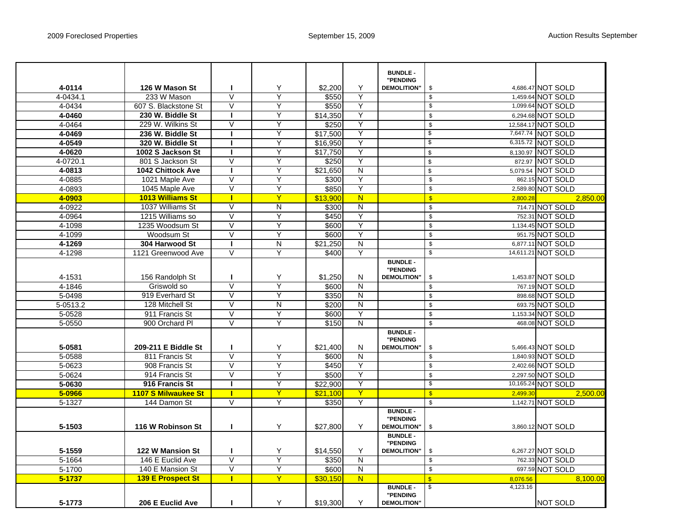|          |                          |                         |                         |          |                         | <b>BUNDLE-</b>                 |                                     |                    |
|----------|--------------------------|-------------------------|-------------------------|----------|-------------------------|--------------------------------|-------------------------------------|--------------------|
| 4-0114   | 126 W Mason St           | H                       | Υ                       | \$2,200  | Y                       | "PENDING<br><b>DEMOLITION"</b> | \$                                  | 4,686.47 NOT SOLD  |
| 4-0434.1 | 233 W Mason              | $\overline{\mathsf{V}}$ | Ÿ                       | \$550    | Y                       |                                | $\overline{\mathbf{3}}$             | 1,459.64 NOT SOLD  |
| 4-0434   | 607 S. Blackstone St     | $\overline{\vee}$       | Y                       | \$550    | Y                       |                                | $\sqrt{3}$                          | 1,099.64 NOT SOLD  |
| 4-0460   | 230 W. Biddle St         | $\mathbf{I}$            | Y                       | \$14,350 | Y                       |                                | \$                                  | 6,294.68 NOT SOLD  |
| 4-0464   | 229 W. Wilkins St        | $\overline{\mathsf{V}}$ | Y                       | \$250    | Y                       |                                | $\mathsf{\$}$                       | 12,584.17 NOT SOLD |
| 4-0469   | 236 W. Biddle St         | H                       | Y                       | \$17,500 | Y                       |                                | \$                                  | 7,647.74 NOT SOLD  |
| 4-0549   | 320 W. Biddle St         |                         | Y                       | \$16,950 | Y                       |                                | $\overline{\$}$                     | 6,315.72 NOT SOLD  |
| 4-0620   | 1002 S Jackson St        | п                       | Y                       | \$17,750 | Y                       |                                | $\bullet$                           | 8,130.97 NOT SOLD  |
| 4-0720.1 | 801 S Jackson St         | $\overline{\mathsf{V}}$ | Y                       | \$250    | Υ                       |                                | $\sqrt{2}$                          | 872.97 NOT SOLD    |
| 4-0813   | <b>1042 Chittock Ave</b> | $\mathbf{I}$            | Y                       | \$21,650 | $\overline{\mathsf{N}}$ |                                | $\overline{\mathbf{s}}$             | 5,079.54 NOT SOLD  |
| 4-0885   | 1021 Maple Ave           | $\overline{\vee}$       | Ÿ                       | \$300    | Y                       |                                | $\sqrt[6]{\frac{1}{2}}$             | 862.15 NOT SOLD    |
| 4-0893   | 1045 Maple Ave           | $\overline{\mathsf{V}}$ | Y                       | \$850    | Y                       |                                | $\pmb{\mathsf{\$}}$                 | 2,589.80 NOT SOLD  |
| 4-0903   | <b>1013 Williams St</b>  | $\mathbf{I}$            | Y                       | \$13,900 | $\overline{\mathsf{N}}$ |                                | $\sqrt[3]{\frac{1}{2}}$<br>2,800.28 | 2,850.00           |
| 4-0922   | 1037 Williams St         | $\vee$                  | N                       | \$300    | ${\sf N}$               |                                | $\overline{\mathbf{S}}$             | 714.71 NOT SOLD    |
| 4-0964   | 1215 Williams so         | $\vee$                  | Y                       | \$450    | $\overline{Y}$          |                                | $\pmb{\mathsf{\$}}$                 | 752.31 NOT SOLD    |
| 4-1098   | 1235 Woodsum St          | $\overline{\vee}$       | Y                       | \$600    | Y                       |                                | $\overline{\$}$                     | 1,134.45 NOT SOLD  |
| 4-1099   | Woodsum St               | $\overline{\mathsf{V}}$ | Y                       | \$600    | Y                       |                                | $\sqrt[6]{3}$                       | 951.75 NOT SOLD    |
| 4-1269   | 304 Harwood St           | $\mathbf{I}$            | $\overline{N}$          | \$21.250 | $\overline{N}$          |                                | $\mathsf{\$}$                       | 6,877.11 NOT SOLD  |
| 4-1298   | 1121 Greenwood Ave       | $\vee$                  | Y                       | \$400    | Y                       |                                | \$                                  | 14,611.21 NOT SOLD |
|          |                          |                         |                         |          |                         | <b>BUNDLE -</b><br>"PENDING    |                                     |                    |
| 4-1531   | 156 Randolph St          | П                       | Υ                       | \$1,250  | N                       | <b>DEMOLITION"</b>             | \$                                  | 1,453.87 NOT SOLD  |
| 4-1846   | Griswold so              | V                       | Y                       | \$600    | Ñ                       |                                | $\bullet$                           | 767.19 NOT SOLD    |
| 5-0498   | 919 Everhard St          | $\overline{\vee}$       | Υ                       | \$350    | $\overline{\mathsf{N}}$ |                                | $\sqrt[6]{3}$                       | 898.68 NOT SOLD    |
| 5-0513.2 | 128 Mitchell St          | $\overline{\vee}$       | $\overline{\mathsf{N}}$ | \$200    | $\overline{\mathsf{N}}$ |                                | $\mathsf{\$}$                       | 693.75 NOT SOLD    |
| 5-0528   | 911 Francis St           | $\overline{\vee}$       | Y                       | \$600    | Y                       |                                | $\sqrt[6]{\frac{1}{2}}$             | 1,153.34 NOT SOLD  |
| 5-0550   | 900 Orchard Pl           | $\overline{\vee}$       | Y                       | \$150    | $\overline{\mathsf{N}}$ |                                | $\mathsf{\$}$                       | 468.08 NOT SOLD    |
|          |                          |                         |                         |          |                         | <b>BUNDLE -</b><br>"PENDING    |                                     |                    |
| 5-0581   | 209-211 E Biddle St      |                         | Υ                       | \$21,400 | N                       | <b>DEMOLITION"</b>             | $\sqrt[6]{\frac{1}{2}}$             | 5,466.43 NOT SOLD  |
| 5-0588   | 811 Francis St           | $\overline{\vee}$       | Y                       | \$600    | ${\sf N}$               |                                | $\overline{\mathbf{S}}$             | 1,840.93 NOT SOLD  |
| 5-0623   | 908 Francis St           | $\vee$                  | Y                       | \$450    | Y                       |                                | $\pmb{\mathsf{\$}}$                 | 2,402.66 NOT SOLD  |
| 5-0624   | 914 Francis St           | $\overline{\vee}$       | Y                       | \$500    | Y                       |                                | $\overline{\mathbf{S}}$             | 2,297.50 NOT SOLD  |
| 5-0630   | 916 Francis St           | $\mathbf{I}$            | Y                       | \$22,900 | Y                       |                                | $\boldsymbol{\mathsf{s}}$           | 10,165.24 NOT SOLD |
| 5-0966   | 1107 S Milwaukee St      | п                       | Y                       | \$21.100 | Y                       |                                | $\sqrt{3}$<br>2,499.30              | 2,500.00           |
| $5-1327$ | 144 Damon St             | V                       | Υ                       | \$350    | Y                       |                                | $\mathsf{\$}$                       | 1,142.71 NOT SOLD  |
|          |                          |                         |                         |          |                         | <b>BUNDLE-</b><br>"PENDING     |                                     |                    |
| 5-1503   | 116 W Robinson St        | $\mathbf{I}$            | Υ                       | \$27,800 | Υ                       | <b>DEMOLITION"</b>             | \$                                  | 3,860.12 NOT SOLD  |
|          |                          |                         |                         |          |                         | <b>BUNDLE-</b><br>"PENDING     |                                     |                    |
| 5-1559   | 122 W Mansion St         | $\mathbf{I}$            | Υ                       | \$14,550 | Y                       | <b>DEMOLITION"</b>             | \$                                  | 6,267.27 NOT SOLD  |
| 5-1664   | 146 E Euclid Ave         | $\overline{\mathsf{V}}$ | Y                       | \$350    | $\overline{\mathsf{N}}$ |                                | $\pmb{\mathsf{\$}}$                 | 762.33 NOT SOLD    |
| 5-1700   | 140 E Mansion St         | $\overline{\mathsf{V}}$ | Υ                       | \$600    | $\mathsf{N}$            |                                | $\pmb{\mathfrak{s}}$                | 697.59 NOT SOLD    |
| 5-1737   | <b>139 E Prospect St</b> | $\mathbf{I}$            | Y                       | \$30,150 | N                       |                                | $\mathbf{s}$<br>8.076.56            | 8.100.00           |
|          |                          |                         |                         |          |                         | <b>BUNDLE -</b><br>"PENDING    | $\overline{\mathbf{e}}$<br>4,123.16 |                    |
| 5-1773   | 206 E Euclid Ave         | п                       | Y                       | \$19,300 | Y                       | <b>DEMOLITION'</b>             |                                     | <b>NOT SOLD</b>    |